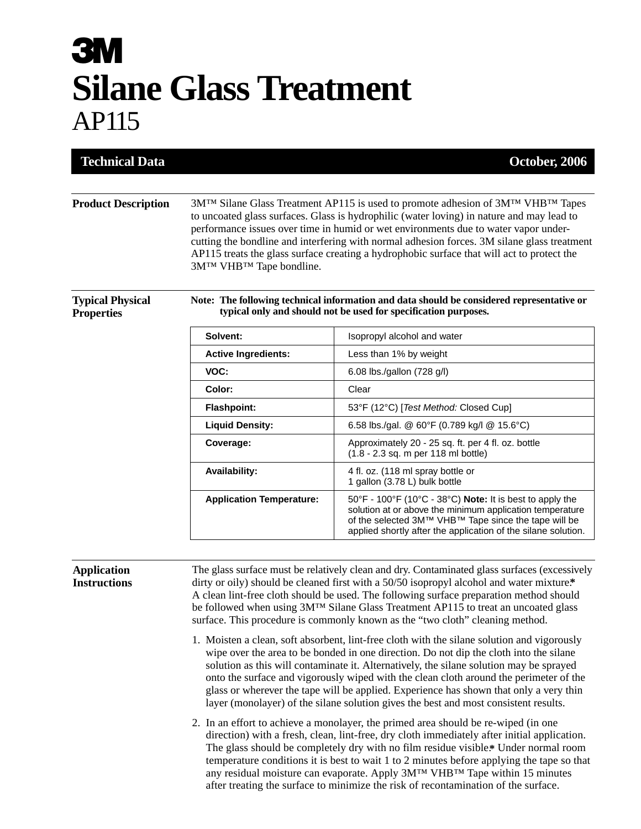## **3M Silane Glass Treatment** AP115

| <b>Technical Data</b>                                 |                                     | <b>October, 2006</b>                                                                                                                                                                                                                                                                                                                                                                                                                                                                                                                                                                                                                                                                                                                                                                                                                                                                                                                                                                                                                                                                                                                                                                                                                                                                                                                                                                                                                                                                |
|-------------------------------------------------------|-------------------------------------|-------------------------------------------------------------------------------------------------------------------------------------------------------------------------------------------------------------------------------------------------------------------------------------------------------------------------------------------------------------------------------------------------------------------------------------------------------------------------------------------------------------------------------------------------------------------------------------------------------------------------------------------------------------------------------------------------------------------------------------------------------------------------------------------------------------------------------------------------------------------------------------------------------------------------------------------------------------------------------------------------------------------------------------------------------------------------------------------------------------------------------------------------------------------------------------------------------------------------------------------------------------------------------------------------------------------------------------------------------------------------------------------------------------------------------------------------------------------------------------|
| <b>Product Description</b><br><b>Typical Physical</b> | 3M™ VHB™ Tape bondline.             | $3M^{TM}$ Silane Glass Treatment AP115 is used to promote adhesion of $3M^{TM}$ VHB <sup>TM</sup> Tapes<br>to uncoated glass surfaces. Glass is hydrophilic (water loving) in nature and may lead to<br>performance issues over time in humid or wet environments due to water vapor under-<br>cutting the bondline and interfering with normal adhesion forces. 3M silane glass treatment<br>AP115 treats the glass surface creating a hydrophobic surface that will act to protect the<br>Note: The following technical information and data should be considered representative or                                                                                                                                                                                                                                                                                                                                                                                                                                                                                                                                                                                                                                                                                                                                                                                                                                                                                               |
| <b>Properties</b>                                     |                                     | typical only and should not be used for specification purposes.                                                                                                                                                                                                                                                                                                                                                                                                                                                                                                                                                                                                                                                                                                                                                                                                                                                                                                                                                                                                                                                                                                                                                                                                                                                                                                                                                                                                                     |
|                                                       | Solvent:                            | Isopropyl alcohol and water                                                                                                                                                                                                                                                                                                                                                                                                                                                                                                                                                                                                                                                                                                                                                                                                                                                                                                                                                                                                                                                                                                                                                                                                                                                                                                                                                                                                                                                         |
|                                                       | <b>Active Ingredients:</b>          | Less than 1% by weight                                                                                                                                                                                                                                                                                                                                                                                                                                                                                                                                                                                                                                                                                                                                                                                                                                                                                                                                                                                                                                                                                                                                                                                                                                                                                                                                                                                                                                                              |
|                                                       | VOC:                                | 6.08 lbs./gallon (728 g/l)                                                                                                                                                                                                                                                                                                                                                                                                                                                                                                                                                                                                                                                                                                                                                                                                                                                                                                                                                                                                                                                                                                                                                                                                                                                                                                                                                                                                                                                          |
|                                                       | Color:                              | Clear                                                                                                                                                                                                                                                                                                                                                                                                                                                                                                                                                                                                                                                                                                                                                                                                                                                                                                                                                                                                                                                                                                                                                                                                                                                                                                                                                                                                                                                                               |
|                                                       | <b>Flashpoint:</b>                  | 53°F (12°C) [Test Method: Closed Cup]                                                                                                                                                                                                                                                                                                                                                                                                                                                                                                                                                                                                                                                                                                                                                                                                                                                                                                                                                                                                                                                                                                                                                                                                                                                                                                                                                                                                                                               |
|                                                       | <b>Liquid Density:</b><br>Coverage: | 6.58 lbs./gal. @ 60°F (0.789 kg/l @ 15.6°C)<br>Approximately 20 - 25 sq. ft. per 4 fl. oz. bottle<br>(1.8 - 2.3 sq. m per 118 ml bottle)                                                                                                                                                                                                                                                                                                                                                                                                                                                                                                                                                                                                                                                                                                                                                                                                                                                                                                                                                                                                                                                                                                                                                                                                                                                                                                                                            |
|                                                       | <b>Availability:</b>                | 4 fl. oz. (118 ml spray bottle or<br>1 gallon (3.78 L) bulk bottle                                                                                                                                                                                                                                                                                                                                                                                                                                                                                                                                                                                                                                                                                                                                                                                                                                                                                                                                                                                                                                                                                                                                                                                                                                                                                                                                                                                                                  |
|                                                       | <b>Application Temperature:</b>     | 50°F - 100°F (10°C - 38°C) Note: It is best to apply the<br>solution at or above the minimum application temperature<br>of the selected 3M™ VHB™ Tape since the tape will be<br>applied shortly after the application of the silane solution.                                                                                                                                                                                                                                                                                                                                                                                                                                                                                                                                                                                                                                                                                                                                                                                                                                                                                                                                                                                                                                                                                                                                                                                                                                       |
| <b>Application</b><br><b>Instructions</b>             |                                     | The glass surface must be relatively clean and dry. Contaminated glass surfaces (excessively<br>dirty or oily) should be cleaned first with a 50/50 isopropyl alcohol and water mixture.*<br>A clean lint-free cloth should be used. The following surface preparation method should<br>be followed when using 3MTM Silane Glass Treatment AP115 to treat an uncoated glass<br>surface. This procedure is commonly known as the "two cloth" cleaning method.<br>1. Moisten a clean, soft absorbent, lint-free cloth with the silane solution and vigorously<br>wipe over the area to be bonded in one direction. Do not dip the cloth into the silane<br>solution as this will contaminate it. Alternatively, the silane solution may be sprayed<br>onto the surface and vigorously wiped with the clean cloth around the perimeter of the<br>glass or wherever the tape will be applied. Experience has shown that only a very thin<br>layer (monolayer) of the silane solution gives the best and most consistent results.<br>2. In an effort to achieve a monolayer, the primed area should be re-wiped (in one<br>direction) with a fresh, clean, lint-free, dry cloth immediately after initial application.<br>The glass should be completely dry with no film residue visible.* Under normal room<br>temperature conditions it is best to wait 1 to 2 minutes before applying the tape so that<br>any residual moisture can evaporate. Apply 3M™ VHB™ Tape within 15 minutes |

after treating the surface to minimize the risk of recontamination of the surface.